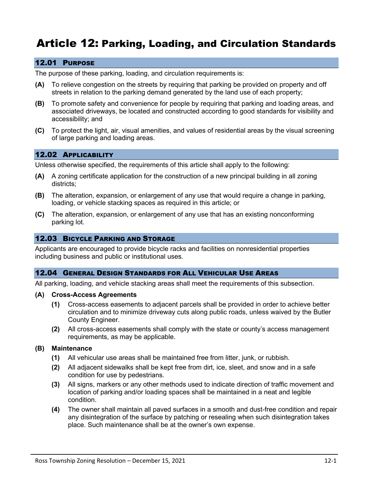# Article 12: Parking, Loading, and Circulation Standards

## 12.01 PURPOSE

The purpose of these parking, loading, and circulation requirements is:

- **(A)** To relieve congestion on the streets by requiring that parking be provided on property and off streets in relation to the parking demand generated by the land use of each property;
- **(B)** To promote safety and convenience for people by requiring that parking and loading areas, and associated driveways, be located and constructed according to good standards for visibility and accessibility; and
- **(C)** To protect the light, air, visual amenities, and values of residential areas by the visual screening of large parking and loading areas.

## 12.02 APPLICABILITY

Unless otherwise specified, the requirements of this article shall apply to the following:

- **(A)** A zoning certificate application for the construction of a new principal building in all zoning districts;
- **(B)** The alteration, expansion, or enlargement of any use that would require a change in parking, loading, or vehicle stacking spaces as required in this article; or
- **(C)** The alteration, expansion, or enlargement of any use that has an existing nonconforming parking lot.

## 12.03 BICYCLE PARKING AND STORAGE

Applicants are encouraged to provide bicycle racks and facilities on nonresidential properties including business and public or institutional uses.

#### 12.04 GENERAL DESIGN STANDARDS FOR ALL VEHICULAR USE AREAS

All parking, loading, and vehicle stacking areas shall meet the requirements of this subsection.

#### **(A) Cross-Access Agreements**

- **(1)** Cross-access easements to adjacent parcels shall be provided in order to achieve better circulation and to minimize driveway cuts along public roads, unless waived by the Butler County Engineer.
- **(2)** All cross-access easements shall comply with the state or county's access management requirements, as may be applicable.

## **(B) Maintenance**

- **(1)** All vehicular use areas shall be maintained free from litter, junk, or rubbish.
- **(2)** All adjacent sidewalks shall be kept free from dirt, ice, sleet, and snow and in a safe condition for use by pedestrians.
- **(3)** All signs, markers or any other methods used to indicate direction of traffic movement and location of parking and/or loading spaces shall be maintained in a neat and legible condition.
- **(4)** The owner shall maintain all paved surfaces in a smooth and dust-free condition and repair any disintegration of the surface by patching or resealing when such disintegration takes place. Such maintenance shall be at the owner's own expense.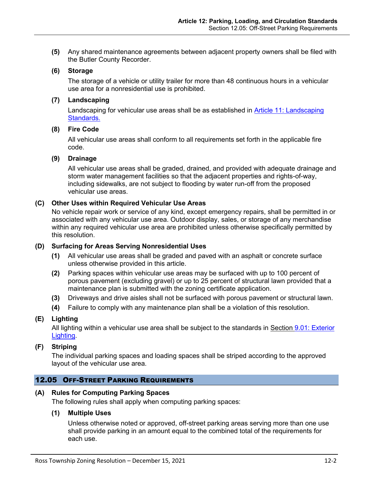**(5)** Any shared maintenance agreements between adjacent property owners shall be filed with the Butler County Recorder.

## **(6) Storage**

The storage of a vehicle or utility trailer for more than 48 continuous hours in a vehicular use area for a nonresidential use is prohibited.

## **(7) Landscaping**

Landscaping for vehicular use areas shall be as established in **Article 11: Landscaping** Standards.

#### **(8) Fire Code**

All vehicular use areas shall conform to all requirements set forth in the applicable fire code.

#### **(9) Drainage**

All vehicular use areas shall be graded, drained, and provided with adequate drainage and storm water management facilities so that the adjacent properties and rights-of-way, including sidewalks, are not subject to flooding by water run-off from the proposed vehicular use areas.

# **(C) Other Uses within Required Vehicular Use Areas**

No vehicle repair work or service of any kind, except emergency repairs, shall be permitted in or associated with any vehicular use area. Outdoor display, sales, or storage of any merchandise within any required vehicular use area are prohibited unless otherwise specifically permitted by this resolution.

## **(D) Surfacing for Areas Serving Nonresidential Uses**

- **(1)** All vehicular use areas shall be graded and paved with an asphalt or concrete surface unless otherwise provided in this article.
- **(2)** Parking spaces within vehicular use areas may be surfaced with up to 100 percent of porous pavement (excluding gravel) or up to 25 percent of structural lawn provided that a maintenance plan is submitted with the zoning certificate application.
- **(3)** Driveways and drive aisles shall not be surfaced with porous pavement or structural lawn.
- **(4)** Failure to comply with any maintenance plan shall be a violation of this resolution.

## **(E) Lighting**

All lighting within a vehicular use area shall be subject to the standards in Section 9.01: Exterior Lighting.

# **(F) Striping**

The individual parking spaces and loading spaces shall be striped according to the approved layout of the vehicular use area.

## 12.05 OFF-STREET PARKING REQUIREMENTS

## **(A) Rules for Computing Parking Spaces**

The following rules shall apply when computing parking spaces:

## **(1) Multiple Uses**

Unless otherwise noted or approved, off-street parking areas serving more than one use shall provide parking in an amount equal to the combined total of the requirements for each use.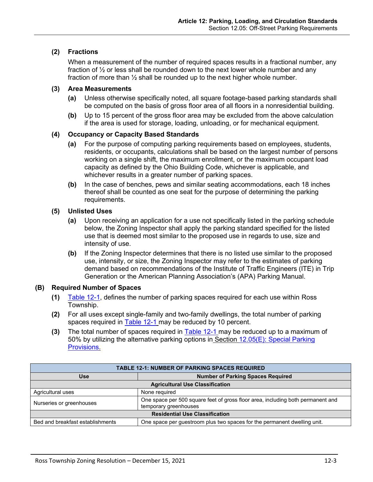# **(2) Fractions**

When a measurement of the number of required spaces results in a fractional number, any fraction of ½ or less shall be rounded down to the next lower whole number and any fraction of more than  $\frac{1}{2}$  shall be rounded up to the next higher whole number.

## **(3) Area Measurements**

- **(a)** Unless otherwise specifically noted, all square footage-based parking standards shall be computed on the basis of gross floor area of all floors in a nonresidential building.
- **(b)** Up to 15 percent of the gross floor area may be excluded from the above calculation if the area is used for storage, loading, unloading, or for mechanical equipment.

#### **(4) Occupancy or Capacity Based Standards**

- **(a)** For the purpose of computing parking requirements based on employees, students, residents, or occupants, calculations shall be based on the largest number of persons working on a single shift, the maximum enrollment, or the maximum occupant load capacity as defined by the Ohio Building Code, whichever is applicable, and whichever results in a greater number of parking spaces.
- **(b)** In the case of benches, pews and similar seating accommodations, each 18 inches thereof shall be counted as one seat for the purpose of determining the parking requirements.

## **(5) Unlisted Uses**

- **(a)** Upon receiving an application for a use not specifically listed in the parking schedule below, the Zoning Inspector shall apply the parking standard specified for the listed use that is deemed most similar to the proposed use in regards to use, size and intensity of use.
- **(b)** If the Zoning Inspector determines that there is no listed use similar to the proposed use, intensity, or size, the Zoning Inspector may refer to the estimates of parking demand based on recommendations of the Institute of Traffic Engineers (ITE) in Trip Generation or the American Planning Association's (APA) Parking Manual.

## <span id="page-2-1"></span>**(B) Required Number of Spaces**

- **(1)** [Table 12-1,](#page-2-0) defines the number of parking spaces required for each use within Ross Township.
- **(2)** For all uses except single-family and two-family dwellings, the total number of parking spaces required in [Table 12-1](#page-2-0) may be reduced by 10 percent.
- **(3)** The total number of spaces required in [Table 12-1](#page-2-0) may be reduced up to a maximum of 50% by utilizing the alternative parking options in Section [12.05\(E\): Special Parking](#page-6-0)  [Provisions.](#page-6-0)

<span id="page-2-0"></span>

| <b>TABLE 12-1: NUMBER OF PARKING SPACES REQUIRED</b> |                                                                                                          |  |  |
|------------------------------------------------------|----------------------------------------------------------------------------------------------------------|--|--|
| <b>Use</b>                                           | <b>Number of Parking Spaces Required</b>                                                                 |  |  |
| <b>Agricultural Use Classification</b>               |                                                                                                          |  |  |
| Agricultural uses                                    | None required                                                                                            |  |  |
| Nurseries or greenhouses                             | One space per 500 square feet of gross floor area, including both permanent and<br>temporary greenhouses |  |  |
| <b>Residential Use Classification</b>                |                                                                                                          |  |  |
| Bed and breakfast establishments                     | One space per guestroom plus two spaces for the permanent dwelling unit.                                 |  |  |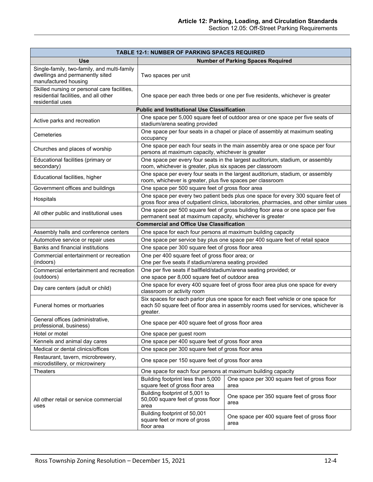| <b>TABLE 12-1: NUMBER OF PARKING SPACES REQUIRED</b>                                                      |                                                                                                                                                                                      |                                                                                  |  |  |
|-----------------------------------------------------------------------------------------------------------|--------------------------------------------------------------------------------------------------------------------------------------------------------------------------------------|----------------------------------------------------------------------------------|--|--|
| <b>Use</b>                                                                                                |                                                                                                                                                                                      | <b>Number of Parking Spaces Required</b>                                         |  |  |
| Single-family, two-family, and multi-family<br>dwellings and permanently sited<br>manufactured housing    | Two spaces per unit                                                                                                                                                                  |                                                                                  |  |  |
| Skilled nursing or personal care facilities,<br>residential facilities, and all other<br>residential uses | One space per each three beds or one per five residents, whichever is greater                                                                                                        |                                                                                  |  |  |
|                                                                                                           | <b>Public and Institutional Use Classification</b>                                                                                                                                   |                                                                                  |  |  |
| Active parks and recreation                                                                               | One space per 5,000 square feet of outdoor area or one space per five seats of<br>stadium/arena seating provided                                                                     |                                                                                  |  |  |
| Cemeteries                                                                                                | occupancy                                                                                                                                                                            | One space per four seats in a chapel or place of assembly at maximum seating     |  |  |
| Churches and places of worship                                                                            | One space per each four seats in the main assembly area or one space per four<br>persons at maximum capacity, whichever is greater                                                   |                                                                                  |  |  |
| Educational facilities (primary or<br>secondary)                                                          | One space per every four seats in the largest auditorium, stadium, or assembly<br>room, whichever is greater, plus six spaces per classroom                                          |                                                                                  |  |  |
| Educational facilities, higher                                                                            | One space per every four seats in the largest auditorium, stadium, or assembly<br>room, whichever is greater, plus five spaces per classroom                                         |                                                                                  |  |  |
| Government offices and buildings                                                                          | One space per 500 square feet of gross floor area                                                                                                                                    |                                                                                  |  |  |
| Hospitals                                                                                                 | One space per every two patient beds plus one space for every 300 square feet of<br>gross floor area of outpatient clinics, laboratories, pharmacies, and other similar uses         |                                                                                  |  |  |
| All other public and institutional uses                                                                   | permanent seat at maximum capacity, whichever is greater                                                                                                                             | One space per 500 square feet of gross building floor area or one space per five |  |  |
|                                                                                                           | <b>Commercial and Office Use Classification</b>                                                                                                                                      |                                                                                  |  |  |
| Assembly halls and conference centers                                                                     | One space for each four persons at maximum building capacity                                                                                                                         |                                                                                  |  |  |
| Automotive service or repair uses                                                                         |                                                                                                                                                                                      | One space per service bay plus one space per 400 square feet of retail space     |  |  |
| Banks and financial institutions                                                                          | One space per 300 square feet of gross floor area                                                                                                                                    |                                                                                  |  |  |
| Commercial entertainment or recreation<br>(indoors)                                                       | One per 400 square feet of gross floor area; or<br>One per five seats if stadium/arena seating provided                                                                              |                                                                                  |  |  |
| Commercial entertainment and recreation<br>(outdoors)                                                     | One per five seats if ballfield/stadium/arena seating provided; or<br>one space per 8,000 square feet of outdoor area                                                                |                                                                                  |  |  |
| Day care centers (adult or child)                                                                         | classroom or activity room                                                                                                                                                           | One space for every 400 square feet of gross floor area plus one space for every |  |  |
| Funeral homes or mortuaries                                                                               | Six spaces for each parlor plus one space for each fleet vehicle or one space for<br>each 50 square feet of floor area in assembly rooms used for services, whichever is<br>greater. |                                                                                  |  |  |
| General offices (administrative,<br>professional, business)                                               | One space per 400 square feet of gross floor area                                                                                                                                    |                                                                                  |  |  |
| Hotel or motel                                                                                            | One space per guest room                                                                                                                                                             |                                                                                  |  |  |
| Kennels and animal day cares                                                                              | One space per 400 square feet of gross floor area                                                                                                                                    |                                                                                  |  |  |
| Medical or dental clinics/offices                                                                         | One space per 300 square feet of gross floor area                                                                                                                                    |                                                                                  |  |  |
| Restaurant, tavern, microbrewery,<br>microdistillery, or microwinery                                      | One space per 150 square feet of gross floor area                                                                                                                                    |                                                                                  |  |  |
| <b>Theaters</b>                                                                                           | One space for each four persons at maximum building capacity                                                                                                                         |                                                                                  |  |  |
| All other retail or service commercial<br>uses                                                            | Building footprint less than 5,000<br>square feet of gross floor area                                                                                                                | One space per 300 square feet of gross floor<br>area                             |  |  |
|                                                                                                           | Building footprint of 5,001 to<br>50,000 square feet of gross floor<br>area                                                                                                          | One space per 350 square feet of gross floor<br>area                             |  |  |
|                                                                                                           | Building footprint of 50,001<br>square feet or more of gross<br>floor area                                                                                                           | One space per 400 square feet of gross floor<br>area                             |  |  |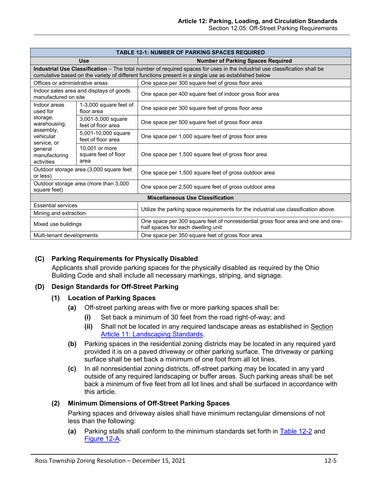| <b>TABLE 12-1: NUMBER OF PARKING SPACES REQUIRED</b>                                                        |                                                |                                                                                                                                                                                                                                   |  |
|-------------------------------------------------------------------------------------------------------------|------------------------------------------------|-----------------------------------------------------------------------------------------------------------------------------------------------------------------------------------------------------------------------------------|--|
| <b>Use</b>                                                                                                  |                                                | <b>Number of Parking Spaces Required</b>                                                                                                                                                                                          |  |
|                                                                                                             |                                                | Industrial Use Classification - The total number of required spaces for uses in the industrial use classification shall be<br>cumulative based on the variety of different functions present in a single use as established below |  |
| Offices or administrative areas                                                                             |                                                | One space per 300 square feet of gross floor area                                                                                                                                                                                 |  |
| Indoor sales area and displays of goods<br>manufactured on site                                             |                                                | One space per 400 square feet of indoor gross floor area                                                                                                                                                                          |  |
| Indoor areas<br>1-3,000 square feet of<br>used for<br>floor area                                            |                                                | One space per 300 square feet of gross floor area                                                                                                                                                                                 |  |
| storage,<br>warehousing,<br>assembly,<br>vehicular<br>service, or<br>general<br>manufacturing<br>activities | 3,001-5,000 square<br>feet of floor area       | One space per 500 square feet of gross floor area                                                                                                                                                                                 |  |
|                                                                                                             | 5,001-10,000 square<br>feet of floor area      | One space per 1,000 square feet of gross floor area                                                                                                                                                                               |  |
|                                                                                                             | 10,001 or more<br>square feet of floor<br>area | One space per 1,500 square feet of gross floor area                                                                                                                                                                               |  |
| Outdoor storage area (3,000 square feet<br>or less)                                                         |                                                | One space per 1,500 square feet of gross outdoor area                                                                                                                                                                             |  |
| Outdoor storage area (more than 3,000<br>square feet)                                                       |                                                | One space per 2,500 square feet of gross outdoor area                                                                                                                                                                             |  |
| <b>Miscellaneous Use Classification</b>                                                                     |                                                |                                                                                                                                                                                                                                   |  |
| <b>Essential services</b>                                                                                   |                                                | Utilize the parking space requirements for the industrial use classification above.                                                                                                                                               |  |
| Mining and extraction                                                                                       |                                                |                                                                                                                                                                                                                                   |  |
| Mixed use buildings                                                                                         |                                                | One space per 300 square feet of nonresidential gross floor area and one and one-<br>half spaces for each dwelling unit                                                                                                           |  |
| Multi-tenant developments                                                                                   |                                                | One space per 350 square feet of gross floor area                                                                                                                                                                                 |  |

## **(C) Parking Requirements for Physically Disabled**

Applicants shall provide parking spaces for the physically disabled as required by the Ohio Building Code and shall include all necessary markings, striping, and signage.

## **(D) Design Standards for Off-Street Parking**

#### **(1) Location of Parking Spaces**

- **(a)** Off-street parking areas with five or more parking spaces shall be:
	- **(i)** Set back a minimum of 30 feet from the road right-of-way; and
	- **(ii)** Shall not be located in any required landscape areas as established in Section Article 11: Landscaping Standards.
- **(b)** Parking spaces in the residential zoning districts may be located in any required yard provided it is on a paved driveway or other parking surface. The driveway or parking surface shall be set back a minimum of one foot from all lot lines.
- **(c)** In all nonresidential zoning districts, off-street parking may be located in any yard outside of any required landscaping or buffer areas. Such parking areas shall be set back a minimum of five feet from all lot lines and shall be surfaced in accordance with this article.

#### **(2) Minimum Dimensions of Off-Street Parking Spaces**

Parking spaces and driveway aisles shall have minimum rectangular dimensions of not less than the following:

**(a)** Parking stalls shall conform to the minimum standards set forth in [Table 12-2](#page-5-0) and [Figure 12-A.](#page-5-1)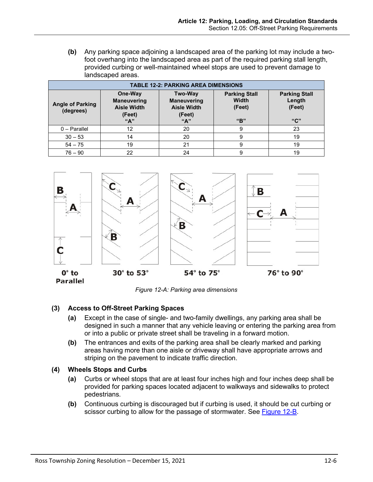<span id="page-5-0"></span>**(b)** Any parking space adjoining a landscaped area of the parking lot may include a twofoot overhang into the landscaped area as part of the required parking stall length, provided curbing or well-maintained wheel stops are used to prevent damage to landscaped areas.

| <b>TABLE 12-2: PARKING AREA DIMENSIONS</b> |                                                                      |                                                                             |                                                |                                                  |  |  |
|--------------------------------------------|----------------------------------------------------------------------|-----------------------------------------------------------------------------|------------------------------------------------|--------------------------------------------------|--|--|
| <b>Angle of Parking</b><br>(degrees)       | One-Way<br><b>Maneuvering</b><br><b>Aisle Width</b><br>(Feet)<br>"A" | <b>Two-Way</b><br><b>Maneuvering</b><br><b>Aisle Width</b><br>(Feet)<br>"A" | <b>Parking Stall</b><br>Width<br>(Feet)<br>"R" | <b>Parking Stall</b><br>Length<br>(Feet)<br>``C" |  |  |
| $0 - \text{Parallel}$                      | 12                                                                   | 20                                                                          | 9                                              | 23                                               |  |  |
| $30 - 53$                                  | 14                                                                   | 20                                                                          | 9                                              | 19                                               |  |  |
| $54 - 75$                                  | 19                                                                   | 21                                                                          | 9                                              | 19                                               |  |  |
| $76 - 90$                                  | 22                                                                   | 24                                                                          | 9                                              | 19                                               |  |  |



*Figure 12-A: Parking area dimensions*

# <span id="page-5-1"></span>**(3) Access to Off-Street Parking Spaces**

- **(a)** Except in the case of single- and two-family dwellings, any parking area shall be designed in such a manner that any vehicle leaving or entering the parking area from or into a public or private street shall be traveling in a forward motion.
- **(b)** The entrances and exits of the parking area shall be clearly marked and parking areas having more than one aisle or driveway shall have appropriate arrows and striping on the pavement to indicate traffic direction.

## **(4) Wheels Stops and Curbs**

- **(a)** Curbs or wheel stops that are at least four inches high and four inches deep shall be provided for parking spaces located adjacent to walkways and sidewalks to protect pedestrians.
- **(b)** Continuous curbing is discouraged but if curbing is used, it should be cut curbing or scissor curbing to allow for the passage of stormwater. See [Figure 12-B.](#page-6-1)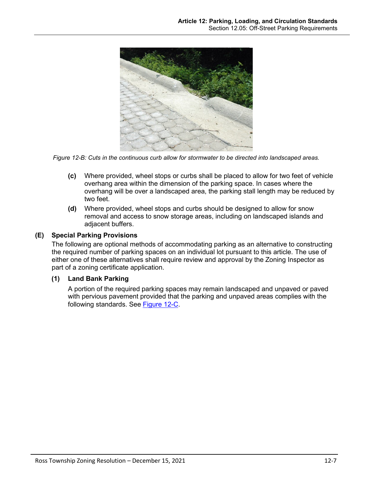

*Figure 12-B: Cuts in the continuous curb allow for stormwater to be directed into landscaped areas.*

- <span id="page-6-1"></span>**(c)** Where provided, wheel stops or curbs shall be placed to allow for two feet of vehicle overhang area within the dimension of the parking space. In cases where the overhang will be over a landscaped area, the parking stall length may be reduced by two feet.
- **(d)** Where provided, wheel stops and curbs should be designed to allow for snow removal and access to snow storage areas, including on landscaped islands and adjacent buffers.

## <span id="page-6-0"></span>**(E) Special Parking Provisions**

The following are optional methods of accommodating parking as an alternative to constructing the required number of parking spaces on an individual lot pursuant to this article. The use of either one of these alternatives shall require review and approval by the Zoning Inspector as part of a zoning certificate application.

## **(1) Land Bank Parking**

A portion of the required parking spaces may remain landscaped and unpaved or paved with pervious pavement provided that the parking and unpaved areas complies with the following standards. See [Figure 12-C.](#page-7-0)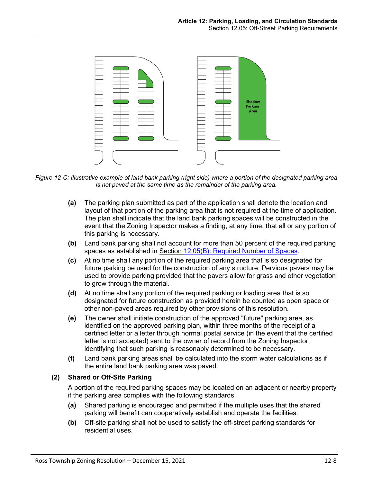

<span id="page-7-0"></span>*Figure 12-C: Illustrative example of land bank parking (right side) where a portion of the designated parking area is not paved at the same time as the remainder of the parking area.*

- **(a)** The parking plan submitted as part of the application shall denote the location and layout of that portion of the parking area that is not required at the time of application. The plan shall indicate that the land bank parking spaces will be constructed in the event that the Zoning Inspector makes a finding, at any time, that all or any portion of this parking is necessary.
- **(b)** Land bank parking shall not account for more than 50 percent of the required parking spaces as established in Section [12.05\(B\): Required Number of Spaces.](#page-2-1)
- **(c)** At no time shall any portion of the required parking area that is so designated for future parking be used for the construction of any structure. Pervious pavers may be used to provide parking provided that the pavers allow for grass and other vegetation to grow through the material.
- **(d)** At no time shall any portion of the required parking or loading area that is so designated for future construction as provided herein be counted as open space or other non-paved areas required by other provisions of this resolution.
- **(e)** The owner shall initiate construction of the approved "future" parking area, as identified on the approved parking plan, within three months of the receipt of a certified letter or a letter through normal postal service (in the event that the certified letter is not accepted) sent to the owner of record from the Zoning Inspector, identifying that such parking is reasonably determined to be necessary.
- **(f)** Land bank parking areas shall be calculated into the storm water calculations as if the entire land bank parking area was paved.

# **(2) Shared or Off-Site Parking**

A portion of the required parking spaces may be located on an adjacent or nearby property if the parking area complies with the following standards.

- **(a)** Shared parking is encouraged and permitted if the multiple uses that the shared parking will benefit can cooperatively establish and operate the facilities.
- **(b)** Off-site parking shall not be used to satisfy the off-street parking standards for residential uses.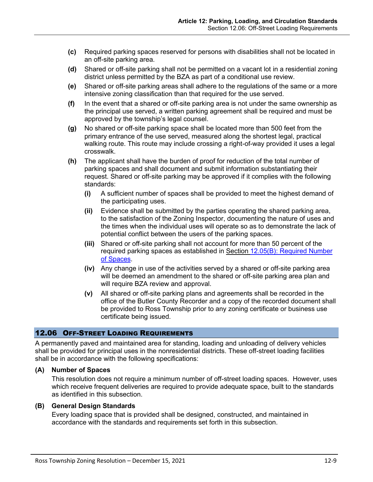- **(c)** Required parking spaces reserved for persons with disabilities shall not be located in an off-site parking area.
- **(d)** Shared or off-site parking shall not be permitted on a vacant lot in a residential zoning district unless permitted by the BZA as part of a conditional use review.
- **(e)** Shared or off-site parking areas shall adhere to the regulations of the same or a more intensive zoning classification than that required for the use served.
- **(f)** In the event that a shared or off-site parking area is not under the same ownership as the principal use served, a written parking agreement shall be required and must be approved by the township's legal counsel.
- **(g)** No shared or off-site parking space shall be located more than 500 feet from the primary entrance of the use served, measured along the shortest legal, practical walking route. This route may include crossing a right-of-way provided it uses a legal crosswalk.
- **(h)** The applicant shall have the burden of proof for reduction of the total number of parking spaces and shall document and submit information substantiating their request. Shared or off-site parking may be approved if it complies with the following standards:
	- **(i)** A sufficient number of spaces shall be provided to meet the highest demand of the participating uses.
	- **(ii)** Evidence shall be submitted by the parties operating the shared parking area, to the satisfaction of the Zoning Inspector, documenting the nature of uses and the times when the individual uses will operate so as to demonstrate the lack of potential conflict between the users of the parking spaces.
	- **(iii)** Shared or off-site parking shall not account for more than 50 percent of the required parking spaces as established in Section [12.05\(B\): Required Number](#page-2-1)  [of Spaces.](#page-2-1)
	- **(iv)** Any change in use of the activities served by a shared or off-site parking area will be deemed an amendment to the shared or off-site parking area plan and will require BZA review and approval.
	- **(v)** All shared or off-site parking plans and agreements shall be recorded in the office of the Butler County Recorder and a copy of the recorded document shall be provided to Ross Township prior to any zoning certificate or business use certificate being issued.

# 12.06 OFF-STREET LOADING REQUIREMENTS

A permanently paved and maintained area for standing, loading and unloading of delivery vehicles shall be provided for principal uses in the nonresidential districts. These off-street loading facilities shall be in accordance with the following specifications:

## **(A) Number of Spaces**

This resolution does not require a minimum number of off-street loading spaces. However, uses which receive frequent deliveries are required to provide adequate space, built to the standards as identified in this subsection.

## **(B) General Design Standards**

Every loading space that is provided shall be designed, constructed, and maintained in accordance with the standards and requirements set forth in this subsection.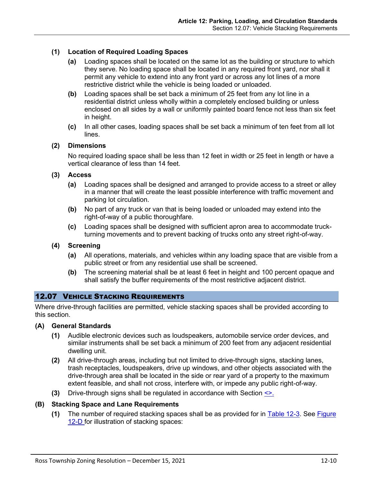# **(1) Location of Required Loading Spaces**

- **(a)** Loading spaces shall be located on the same lot as the building or structure to which they serve. No loading space shall be located in any required front yard, nor shall it permit any vehicle to extend into any front yard or across any lot lines of a more restrictive district while the vehicle is being loaded or unloaded.
- **(b)** Loading spaces shall be set back a minimum of 25 feet from any lot line in a residential district unless wholly within a completely enclosed building or unless enclosed on all sides by a wall or uniformly painted board fence not less than six feet in height.
- **(c)** In all other cases, loading spaces shall be set back a minimum of ten feet from all lot lines.

## **(2) Dimensions**

No required loading space shall be less than 12 feet in width or 25 feet in length or have a vertical clearance of less than 14 feet.

#### **(3) Access**

- **(a)** Loading spaces shall be designed and arranged to provide access to a street or alley in a manner that will create the least possible interference with traffic movement and parking lot circulation.
- **(b)** No part of any truck or van that is being loaded or unloaded may extend into the right-of-way of a public thoroughfare.
- **(c)** Loading spaces shall be designed with sufficient apron area to accommodate truckturning movements and to prevent backing of trucks onto any street right-of-way.

## **(4) Screening**

- **(a)** All operations, materials, and vehicles within any loading space that are visible from a public street or from any residential use shall be screened.
- **(b)** The screening material shall be at least 6 feet in height and 100 percent opaque and shall satisfy the buffer requirements of the most restrictive adjacent district.

## 12.07 VEHICLE STACKING REQUIREMENTS

Where drive-through facilities are permitted, vehicle stacking spaces shall be provided according to this section.

#### **(A) General Standards**

- **(1)** Audible electronic devices such as loudspeakers, automobile service order devices, and similar instruments shall be set back a minimum of 200 feet from any adjacent residential dwelling unit.
- **(2)** All drive-through areas, including but not limited to drive-through signs, stacking lanes, trash receptacles, loudspeakers, drive up windows, and other objects associated with the drive-through area shall be located in the side or rear yard of a property to the maximum extent feasible, and shall not cross, interfere with, or impede any public right-of-way.
- **(3)** Drive-through signs shall be regulated in accordance with Section <>.

## **(B) Stacking Space and Lane Requirements**

**(1)** The number of required stacking spaces shall be as provided for in [Table 12-3.](#page-10-0) See [Figure](#page-10-1)  [12-D](#page-10-1) for illustration of stacking spaces: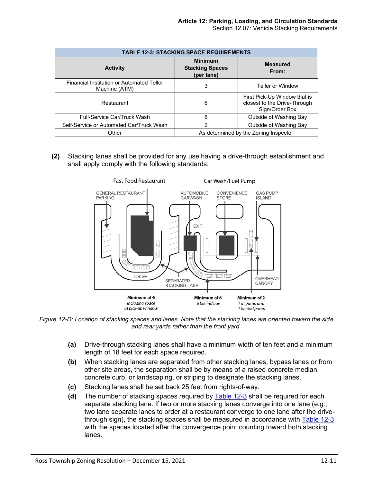<span id="page-10-0"></span>

| <b>TABLE 12-3: STACKING SPACE REQUIREMENTS</b>             |                                                        |                                                                                |  |  |  |
|------------------------------------------------------------|--------------------------------------------------------|--------------------------------------------------------------------------------|--|--|--|
| <b>Activity</b>                                            | <b>Minimum</b><br><b>Stacking Spaces</b><br>(per lane) | <b>Measured</b><br>From:                                                       |  |  |  |
| Financial Institution or Automated Teller<br>Machine (ATM) | 3                                                      | <b>Teller or Window</b>                                                        |  |  |  |
| Restaurant                                                 | 6                                                      | First Pick-Up Window that is<br>closest to the Drive-Through<br>Sign/Order Box |  |  |  |
| Full-Service Car/Truck Wash                                | 6                                                      | Outside of Washing Bay                                                         |  |  |  |
| Self-Service or Automated Car/Truck Wash                   | 2                                                      | Outside of Washing Bay                                                         |  |  |  |
| Other                                                      | As determined by the Zoning Inspector                  |                                                                                |  |  |  |

**(2)** Stacking lanes shall be provided for any use having a drive-through establishment and shall apply comply with the following standards:



<span id="page-10-1"></span>*Figure 12-D: Location of stacking spaces and lanes. Note that the stacking lanes are oriented toward the side and rear yards rather than the front yard.*

- **(a)** Drive-through stacking lanes shall have a minimum width of ten feet and a minimum length of 18 feet for each space required.
- **(b)** When stacking lanes are separated from other stacking lanes, bypass lanes or from other site areas, the separation shall be by means of a raised concrete median, concrete curb, or landscaping, or striping to designate the stacking lanes.
- **(c)** Stacking lanes shall be set back 25 feet from rights-of-way.
- **(d)** The number of stacking spaces required by [Table 12-3](#page-10-0) shall be required for each separate stacking lane. If two or more stacking lanes converge into one lane (e.g., two lane separate lanes to order at a restaurant converge to one lane after the drivethrough sign), the stacking spaces shall be measured in accordance with [Table 12-3](#page-10-0) with the spaces located after the convergence point counting toward both stacking lanes.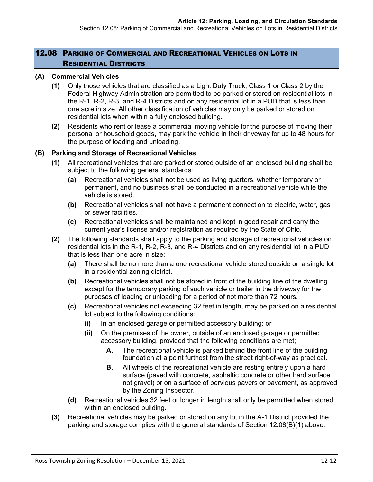# 12.08 PARKING OF COMMERCIAL AND RECREATIONAL VEHICLES ON LOTS IN RESIDENTIAL DISTRICTS

## **(A) Commercial Vehicles**

- **(1)** Only those vehicles that are classified as a Light Duty Truck, Class 1 or Class 2 by the Federal Highway Administration are permitted to be parked or stored on residential lots in the R-1, R-2, R-3, and R-4 Districts and on any residential lot in a PUD that is less than one acre in size. All other classification of vehicles may only be parked or stored on residential lots when within a fully enclosed building.
- **(2)** Residents who rent or lease a commercial moving vehicle for the purpose of moving their personal or household goods, may park the vehicle in their driveway for up to 48 hours for the purpose of loading and unloading.

# **(B) Parking and Storage of Recreational Vehicles**

- **(1)** All recreational vehicles that are parked or stored outside of an enclosed building shall be subject to the following general standards:
	- **(a)** Recreational vehicles shall not be used as living quarters, whether temporary or permanent, and no business shall be conducted in a recreational vehicle while the vehicle is stored.
	- **(b)** Recreational vehicles shall not have a permanent connection to electric, water, gas or sewer facilities.
	- **(c)** Recreational vehicles shall be maintained and kept in good repair and carry the current year's license and/or registration as required by the State of Ohio.
- **(2)** The following standards shall apply to the parking and storage of recreational vehicles on residential lots in the R-1, R-2, R-3, and R-4 Districts and on any residential lot in a PUD that is less than one acre in size:
	- **(a)** There shall be no more than a one recreational vehicle stored outside on a single lot in a residential zoning district.
	- **(b)** Recreational vehicles shall not be stored in front of the building line of the dwelling except for the temporary parking of such vehicle or trailer in the driveway for the purposes of loading or unloading for a period of not more than 72 hours.
	- **(c)** Recreational vehicles not exceeding 32 feet in length, may be parked on a residential lot subject to the following conditions:
		- **(i)** In an enclosed garage or permitted accessory building; or
		- **(ii)** On the premises of the owner, outside of an enclosed garage or permitted accessory building, provided that the following conditions are met;
			- **A.** The recreational vehicle is parked behind the front line of the building foundation at a point furthest from the street right-of-way as practical.
			- **B.** All wheels of the recreational vehicle are resting entirely upon a hard surface (paved with concrete, asphaltic concrete or other hard surface not gravel) or on a surface of pervious pavers or pavement, as approved by the Zoning Inspector.
	- **(d)** Recreational vehicles 32 feet or longer in length shall only be permitted when stored within an enclosed building.
- **(3)** Recreational vehicles may be parked or stored on any lot in the A-1 District provided the parking and storage complies with the general standards of Section 12.08(B)(1) above.